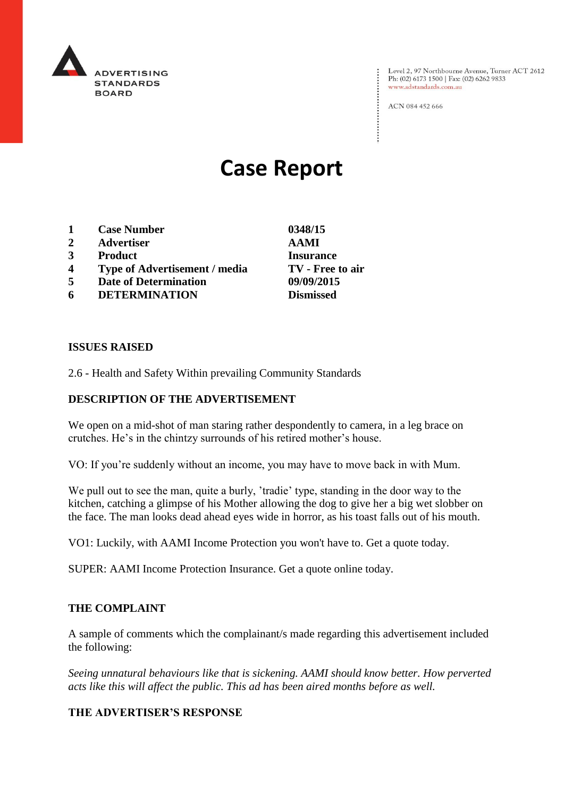

Level 2, 97 Northbourne Avenue, Turner ACT 2612<br>Ph: (02) 6173 1500 | Fax: (02) 6262 9833 www.adstandards.com.au

ACN 084 452 666

# **Case Report**

- **1 Case Number 0348/15**
- **2 Advertiser AAMI**
- **3 Product Insurance**
- **4 Type of Advertisement / media TV - Free to air**
- **5 Date of Determination 09/09/2015**
- **6 DETERMINATION Dismissed**

**ISSUES RAISED**

2.6 - Health and Safety Within prevailing Community Standards

## **DESCRIPTION OF THE ADVERTISEMENT**

We open on a mid-shot of man staring rather despondently to camera, in a leg brace on crutches. He's in the chintzy surrounds of his retired mother's house.

VO: If you're suddenly without an income, you may have to move back in with Mum.

We pull out to see the man, quite a burly, 'tradie' type, standing in the door way to the kitchen, catching a glimpse of his Mother allowing the dog to give her a big wet slobber on the face. The man looks dead ahead eyes wide in horror, as his toast falls out of his mouth.

VO1: Luckily, with AAMI Income Protection you won't have to. Get a quote today.

SUPER: AAMI Income Protection Insurance. Get a quote online today.

### **THE COMPLAINT**

A sample of comments which the complainant/s made regarding this advertisement included the following:

*Seeing unnatural behaviours like that is sickening. AAMI should know better. How perverted acts like this will affect the public. This ad has been aired months before as well.* 

## **THE ADVERTISER'S RESPONSE**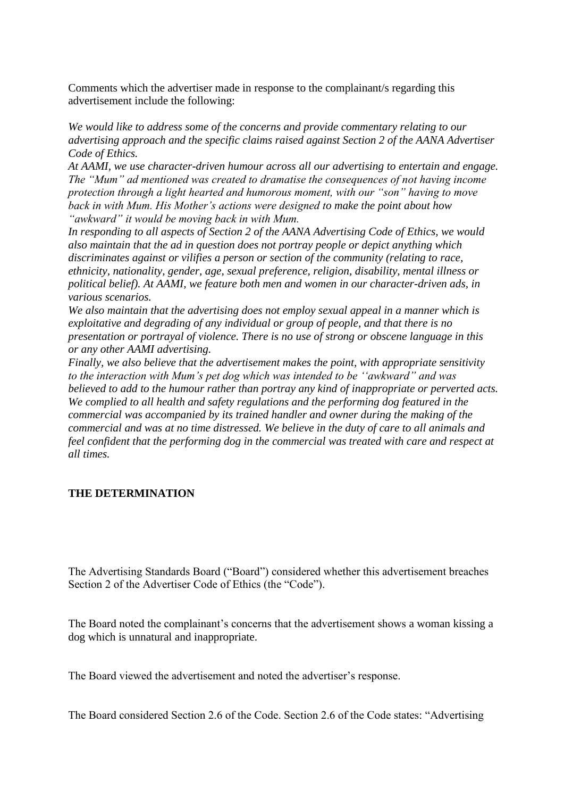Comments which the advertiser made in response to the complainant/s regarding this advertisement include the following:

*We would like to address some of the concerns and provide commentary relating to our advertising approach and the specific claims raised against Section 2 of the AANA Advertiser Code of Ethics.*

*At AAMI, we use character-driven humour across all our advertising to entertain and engage. The "Mum" ad mentioned was created to dramatise the consequences of not having income protection through a light hearted and humorous moment, with our "son" having to move back in with Mum. His Mother's actions were designed to make the point about how "awkward" it would be moving back in with Mum.*

*In responding to all aspects of Section 2 of the AANA Advertising Code of Ethics, we would also maintain that the ad in question does not portray people or depict anything which discriminates against or vilifies a person or section of the community (relating to race, ethnicity, nationality, gender, age, sexual preference, religion, disability, mental illness or political belief). At AAMI, we feature both men and women in our character-driven ads, in various scenarios.*

*We also maintain that the advertising does not employ sexual appeal in a manner which is exploitative and degrading of any individual or group of people, and that there is no presentation or portrayal of violence. There is no use of strong or obscene language in this or any other AAMI advertising.*

*Finally, we also believe that the advertisement makes the point, with appropriate sensitivity to the interaction with Mum's pet dog which was intended to be ''awkward" and was believed to add to the humour rather than portray any kind of inappropriate or perverted acts. We complied to all health and safety regulations and the performing dog featured in the commercial was accompanied by its trained handler and owner during the making of the commercial and was at no time distressed. We believe in the duty of care to all animals and feel confident that the performing dog in the commercial was treated with care and respect at all times.*

# **THE DETERMINATION**

The Advertising Standards Board ("Board") considered whether this advertisement breaches Section 2 of the Advertiser Code of Ethics (the "Code").

The Board noted the complainant's concerns that the advertisement shows a woman kissing a dog which is unnatural and inappropriate.

The Board viewed the advertisement and noted the advertiser's response.

The Board considered Section 2.6 of the Code. Section 2.6 of the Code states: "Advertising